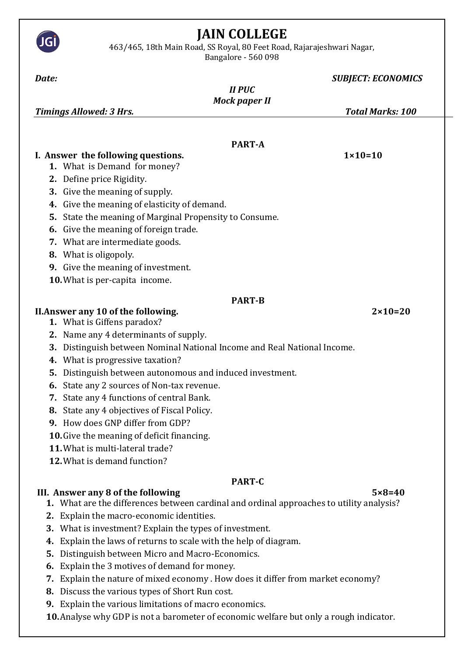

463/465, 18th Main Road, SS Royal, 80 Feet Road, Rajarajeshwari Nagar,

JG

Bangalore - 560 098

| Date:                                                                                    | <b>SUBJECT: ECONOMICS</b> |  |  |  |  |  |  |  |  |
|------------------------------------------------------------------------------------------|---------------------------|--|--|--|--|--|--|--|--|
| <b>II PUC</b>                                                                            |                           |  |  |  |  |  |  |  |  |
|                                                                                          | <b>Mock paper II</b>      |  |  |  |  |  |  |  |  |
| <b>Timings Allowed: 3 Hrs.</b>                                                           | <b>Total Marks: 100</b>   |  |  |  |  |  |  |  |  |
|                                                                                          |                           |  |  |  |  |  |  |  |  |
| <b>PART-A</b>                                                                            |                           |  |  |  |  |  |  |  |  |
| I. Answer the following questions.                                                       | $1 \times 10 = 10$        |  |  |  |  |  |  |  |  |
| 1. What is Demand for money?                                                             |                           |  |  |  |  |  |  |  |  |
| 2. Define price Rigidity.                                                                |                           |  |  |  |  |  |  |  |  |
| 3. Give the meaning of supply.                                                           |                           |  |  |  |  |  |  |  |  |
| 4. Give the meaning of elasticity of demand.                                             |                           |  |  |  |  |  |  |  |  |
| State the meaning of Marginal Propensity to Consume.<br>5.                               |                           |  |  |  |  |  |  |  |  |
| 6. Give the meaning of foreign trade.                                                    |                           |  |  |  |  |  |  |  |  |
| 7. What are intermediate goods.                                                          |                           |  |  |  |  |  |  |  |  |
| 8. What is oligopoly.                                                                    |                           |  |  |  |  |  |  |  |  |
| 9. Give the meaning of investment.                                                       |                           |  |  |  |  |  |  |  |  |
| 10. What is per-capita income.                                                           |                           |  |  |  |  |  |  |  |  |
|                                                                                          | <b>PART-B</b>             |  |  |  |  |  |  |  |  |
| II. Answer any 10 of the following.                                                      | $2 \times 10 = 20$        |  |  |  |  |  |  |  |  |
| 1. What is Giffens paradox?                                                              |                           |  |  |  |  |  |  |  |  |
| 2. Name any 4 determinants of supply.                                                    |                           |  |  |  |  |  |  |  |  |
| Distinguish between Nominal National Income and Real National Income.<br>3.              |                           |  |  |  |  |  |  |  |  |
| 4. What is progressive taxation?                                                         |                           |  |  |  |  |  |  |  |  |
| Distinguish between autonomous and induced investment.<br>5.                             |                           |  |  |  |  |  |  |  |  |
| State any 2 sources of Non-tax revenue.<br>6.                                            |                           |  |  |  |  |  |  |  |  |
| 7. State any 4 functions of central Bank.                                                |                           |  |  |  |  |  |  |  |  |
| 8. State any 4 objectives of Fiscal Policy.                                              |                           |  |  |  |  |  |  |  |  |
| 9. How does GNP differ from GDP?                                                         |                           |  |  |  |  |  |  |  |  |
| 10. Give the meaning of deficit financing.                                               |                           |  |  |  |  |  |  |  |  |
| 11. What is multi-lateral trade?                                                         |                           |  |  |  |  |  |  |  |  |
| 12. What is demand function?                                                             |                           |  |  |  |  |  |  |  |  |
|                                                                                          | <b>PART-C</b>             |  |  |  |  |  |  |  |  |
| III. Answer any 8 of the following                                                       | $5 \times 8 = 40$         |  |  |  |  |  |  |  |  |
| 1. What are the differences between cardinal and ordinal approaches to utility analysis? |                           |  |  |  |  |  |  |  |  |
| 2. Explain the macro-economic identities.                                                |                           |  |  |  |  |  |  |  |  |
| 3. What is investment? Explain the types of investment.                                  |                           |  |  |  |  |  |  |  |  |
| Explain the laws of returns to scale with the help of diagram.<br>4.                     |                           |  |  |  |  |  |  |  |  |
| Distinguish between Micro and Macro-Economics.<br>5.                                     |                           |  |  |  |  |  |  |  |  |
| Explain the 3 motives of demand for money.<br>6.                                         |                           |  |  |  |  |  |  |  |  |
| Explain the nature of mixed economy . How does it differ from market economy?<br>7.      |                           |  |  |  |  |  |  |  |  |
| 8. Discuss the various types of Short Run cost.                                          |                           |  |  |  |  |  |  |  |  |
| Explain the various limitations of macro economics.<br>9.                                |                           |  |  |  |  |  |  |  |  |
| 10. Analyse why GDP is not a barometer of economic welfare but only a rough indicator.   |                           |  |  |  |  |  |  |  |  |